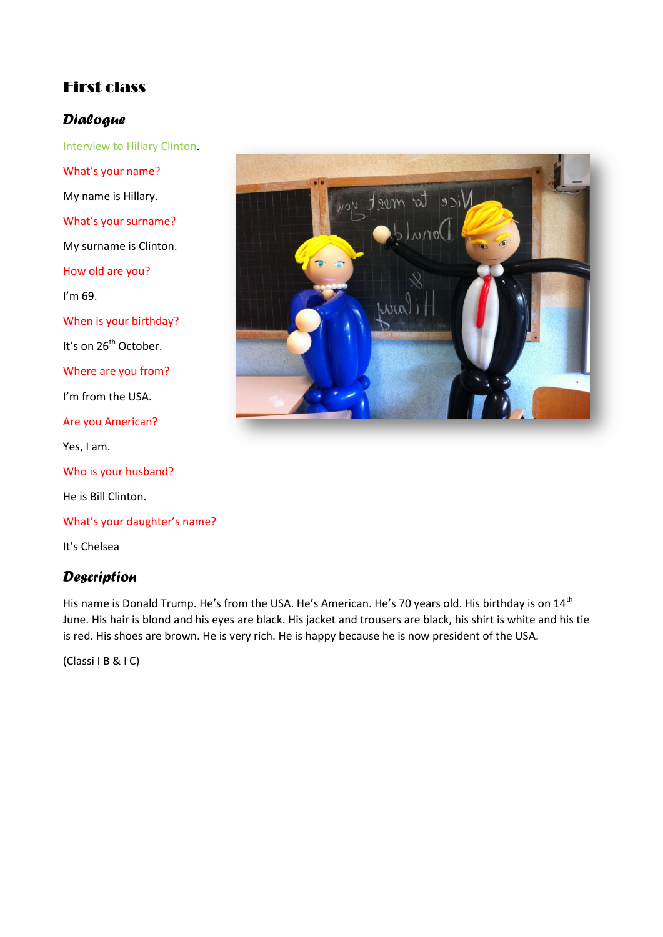## First class

### *Dialogue*

Interview to Hillary Clinton. What's your name? My name is Hillary. What's your surname? My surname is Clinton. How old are you? I'm 69. When is your birthday? It's on 26<sup>th</sup> October. Where are you from? I'm from the USA. Are you American? Yes, I am. Who is your husband? He is Bill Clinton. What's your daughter's name? It's Chelsea

### *Description*

His name is Donald Trump. He's from the USA. He's American. He's 70 years old. His birthday is on 14<sup>th</sup> June. His hair is blond and his eyes are black. His jacket and trousers are black, his shirt is white and his tie is red. His shoes are brown. He is very rich. He is happy because he is now president of the USA.

(Classi I B & I C)

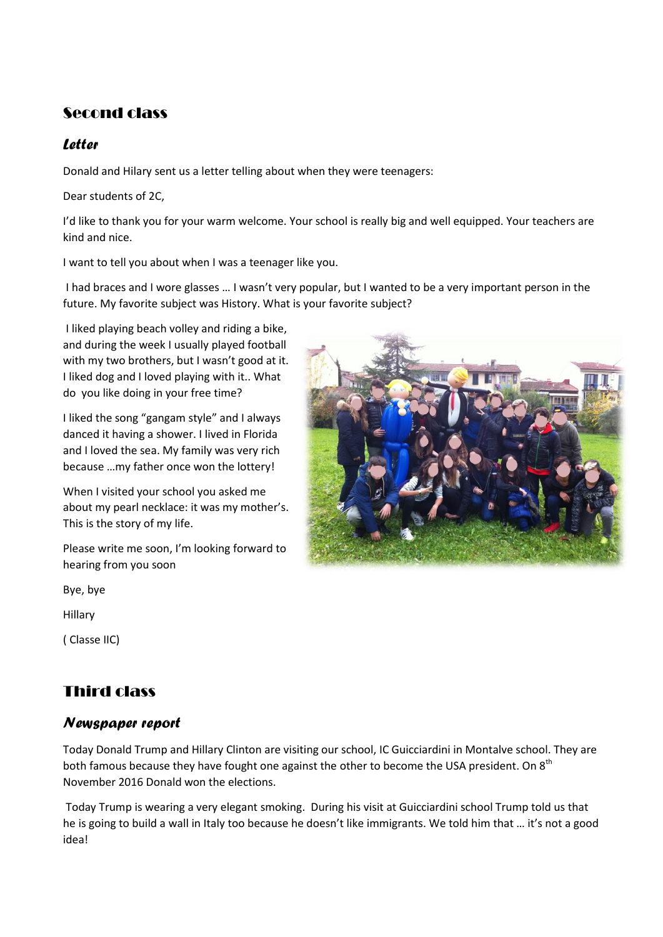### Second class

### *Letter*

Donald and Hilary sent us a letter telling about when they were teenagers:

Dear students of 2C,

I'd like to thank you for your warm welcome. Your school is really big and well equipped. Your teachers are kind and nice.

I want to tell you about when I was a teenager like you.

I had braces and I wore glasses … I wasn't very popular, but I wanted to be a very important person in the future. My favorite subject was History. What is your favorite subject?

I liked playing beach volley and riding a bike, and during the week I usually played football with my two brothers, but I wasn't good at it. I liked dog and I loved playing with it.. What do you like doing in your free time?

I liked the song "gangam style" and I always danced it having a shower. I lived in Florida and I loved the sea. My family was very rich because …my father once won the lottery!

When I visited your school you asked me about my pearl necklace: it was my mother's. This is the story of my life.

Please write me soon, I'm looking forward to hearing from you soon

Bye, bye

Hillary

( Classe IIC)

# Third class

#### *Newspaper report*

Today Donald Trump and Hillary Clinton are visiting our school, IC Guicciardini in Montalve school. They are both famous because they have fought one against the other to become the USA president. On 8<sup>th</sup> November 2016 Donald won the elections.

Today Trump is wearing a very elegant smoking. During his visit at Guicciardini school Trump told us that he is going to build a wall in Italy too because he doesn't like immigrants. We told him that ... it's not a good idea!